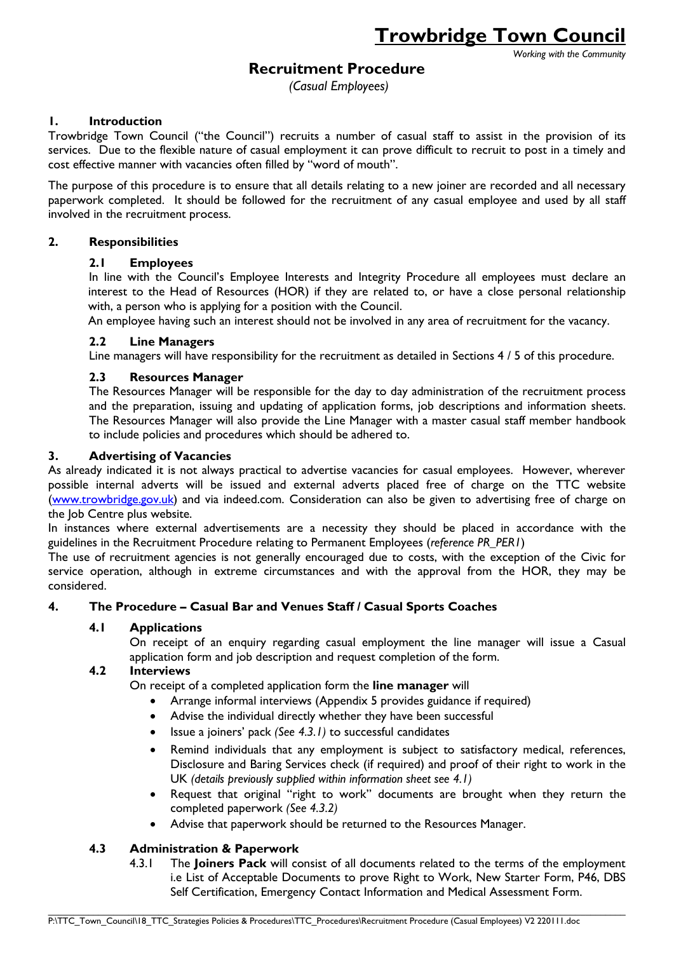*Working with the Community*

# **Recruitment Procedure**

*(Casual Employees)*

# **1. Introduction**

Trowbridge Town Council ("the Council") recruits a number of casual staff to assist in the provision of its services. Due to the flexible nature of casual employment it can prove difficult to recruit to post in a timely and cost effective manner with vacancies often filled by "word of mouth".

The purpose of this procedure is to ensure that all details relating to a new joiner are recorded and all necessary paperwork completed. It should be followed for the recruitment of any casual employee and used by all staff involved in the recruitment process.

#### **2. Responsibilities**

### **2.1 Employees**

In line with the Council's Employee Interests and Integrity Procedure all employees must declare an interest to the Head of Resources (HOR) if they are related to, or have a close personal relationship with, a person who is applying for a position with the Council.

An employee having such an interest should not be involved in any area of recruitment for the vacancy.

### **2.2 Line Managers**

Line managers will have responsibility for the recruitment as detailed in Sections 4 / 5 of this procedure.

### **2.3 Resources Manager**

The Resources Manager will be responsible for the day to day administration of the recruitment process and the preparation, issuing and updating of application forms, job descriptions and information sheets. The Resources Manager will also provide the Line Manager with a master casual staff member handbook to include policies and procedures which should be adhered to.

#### **3. Advertising of Vacancies**

As already indicated it is not always practical to advertise vacancies for casual employees. However, wherever possible internal adverts will be issued and external adverts placed free of charge on the TTC website [\(www.trowbridge.gov.uk\)](http://www.trowbridge.gov.uk/) and via indeed.com. Consideration can also be given to advertising free of charge on the Job Centre plus website.

In instances where external advertisements are a necessity they should be placed in accordance with the guidelines in the Recruitment Procedure relating to Permanent Employees (*reference PR\_PER1*)

The use of recruitment agencies is not generally encouraged due to costs, with the exception of the Civic for service operation, although in extreme circumstances and with the approval from the HOR, they may be considered.

# **4. The Procedure – Casual Bar and Venues Staff / Casual Sports Coaches**

#### **4.1 Applications**

On receipt of an enquiry regarding casual employment the line manager will issue a Casual application form and job description and request completion of the form.

#### **4.2 Interviews**

On receipt of a completed application form the **line manager** will

- Arrange informal interviews (Appendix 5 provides guidance if required)
- Advise the individual directly whether they have been successful
- Issue a joiners' pack *(See 4.3.1)* to successful candidates
- Remind individuals that any employment is subject to satisfactory medical, references, Disclosure and Baring Services check (if required) and proof of their right to work in the UK *(details previously supplied within information sheet see 4.1)*
- Request that original "right to work" documents are brought when they return the completed paperwork *(See 4.3.2)*
- Advise that paperwork should be returned to the Resources Manager.

 $\_$  , and the state of the state of the state of the state of the state of the state of the state of the state of the state of the state of the state of the state of the state of the state of the state of the state of the

# **4.3 Administration & Paperwork**

4.3.1 The **Joiners Pack** will consist of all documents related to the terms of the employment i.e List of Acceptable Documents to prove Right to Work, New Starter Form, P46, DBS Self Certification, Emergency Contact Information and Medical Assessment Form.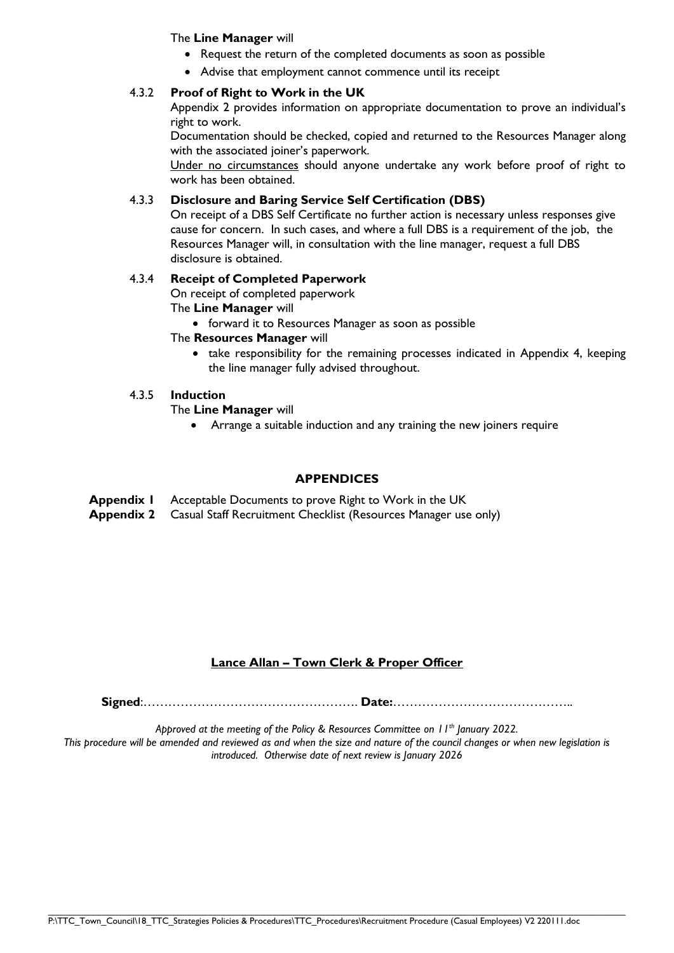#### The **Line Manager** will

- Request the return of the completed documents as soon as possible
- Advise that employment cannot commence until its receipt

## 4.3.2 **Proof of Right to Work in the UK**

Appendix 2 provides information on appropriate documentation to prove an individual's right to work.

Documentation should be checked, copied and returned to the Resources Manager along with the associated joiner's paperwork.

Under no circumstances should anyone undertake any work before proof of right to work has been obtained.

### 4.3.3 **Disclosure and Baring Service Self Certification (DBS)**

On receipt of a DBS Self Certificate no further action is necessary unless responses give cause for concern. In such cases, and where a full DBS is a requirement of the job, the Resources Manager will, in consultation with the line manager, request a full DBS disclosure is obtained.

### 4.3.4 **Receipt of Completed Paperwork**

On receipt of completed paperwork

The **Line Manager** will

• forward it to Resources Manager as soon as possible

### The **Resources Manager** will

• take responsibility for the remaining processes indicated in Appendix 4, keeping the line manager fully advised throughout.

## 4.3.5 **Induction**

The **Line Manager** will

Arrange a suitable induction and any training the new joiners require

#### **APPENDICES**

**Appendix 1** Acceptable Documents to prove Right to Work in the UK

**Appendix 2** Casual Staff Recruitment Checklist (Resources Manager use only)

# **Lance Allan – Town Clerk & Proper Officer**

**Signed**:……………………………………………. **Date:**……………………………………..

*Approved at the meeting of the Policy & Resources Committee on 11th January 2022.*

*This procedure will be amended and reviewed as and when the size and nature of the council changes or when new legislation is introduced. Otherwise date of next review is January 2026*

 $\_$  , and the state of the state of the state of the state of the state of the state of the state of the state of the state of the state of the state of the state of the state of the state of the state of the state of the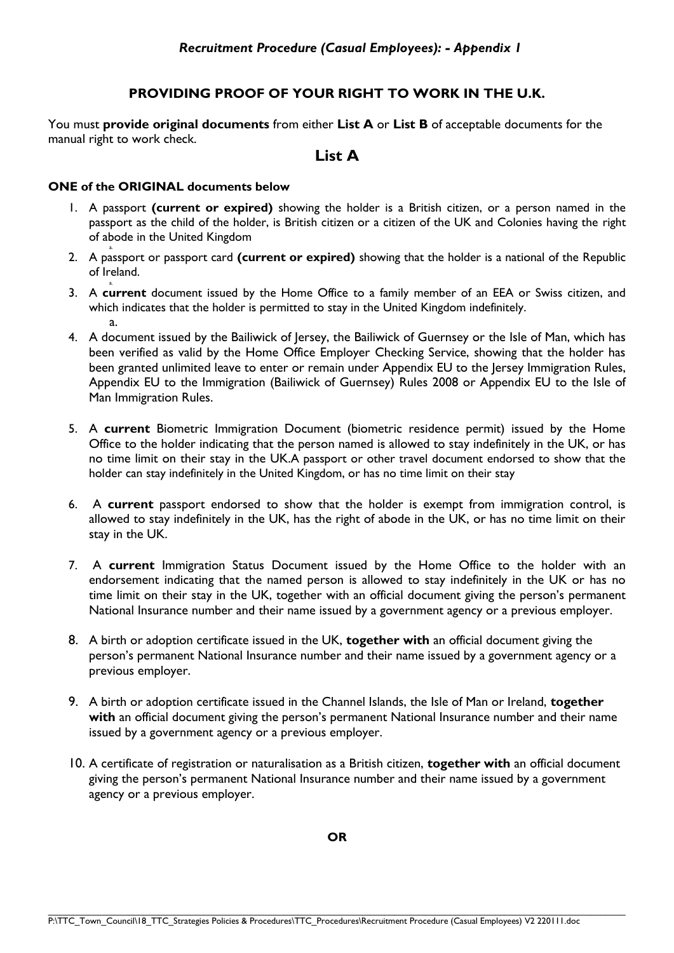# **PROVIDING PROOF OF YOUR RIGHT TO WORK IN THE U.K.**

You must **provide original documents** from either **List A** or **List B** of acceptable documents for the manual right to work check.

# **List A**

## **ONE of the ORIGINAL documents below**

- 1. A passport **(current or expired)** showing the holder is a British citizen, or a person named in the passport as the child of the holder, is British citizen or a citizen of the UK and Colonies having the right of abode in the United Kingdom
- a. 2. A passport or passport card **(current or expired)** showing that the holder is a national of the Republic of Ireland.
- 3. A **current** document issued by the Home Office to a family member of an EEA or Swiss citizen, and which indicates that the holder is permitted to stay in the United Kingdom indefinitely. a.
- 4. A document issued by the Bailiwick of Jersey, the Bailiwick of Guernsey or the Isle of Man, which has been verified as valid by the Home Office Employer Checking Service, showing that the holder has been granted unlimited leave to enter or remain under Appendix EU to the Jersey Immigration Rules, Appendix EU to the Immigration (Bailiwick of Guernsey) Rules 2008 or Appendix EU to the Isle of Man Immigration Rules.
- 5. A **current** Biometric Immigration Document (biometric residence permit) issued by the Home Office to the holder indicating that the person named is allowed to stay indefinitely in the UK, or has no time limit on their stay in the UK.A passport or other travel document endorsed to show that the holder can stay indefinitely in the United Kingdom, or has no time limit on their stay
- 6. A **current** passport endorsed to show that the holder is exempt from immigration control, is allowed to stay indefinitely in the UK, has the right of abode in the UK, or has no time limit on their stay in the UK.
- 7. A **current** Immigration Status Document issued by the Home Office to the holder with an endorsement indicating that the named person is allowed to stay indefinitely in the UK or has no time limit on their stay in the UK, together with an official document giving the person's permanent National Insurance number and their name issued by a government agency or a previous employer.
- 8. A birth or adoption certificate issued in the UK, **together with** an official document giving the person's permanent National Insurance number and their name issued by a government agency or a previous employer.
- 9. A birth or adoption certificate issued in the Channel Islands, the Isle of Man or Ireland, **together**  with an official document giving the person's permanent National Insurance number and their name issued by a government agency or a previous employer.
- 10. A certificate of registration or naturalisation as a British citizen, **together with** an official document giving the person's permanent National Insurance number and their name issued by a government agency or a previous employer.

**OR**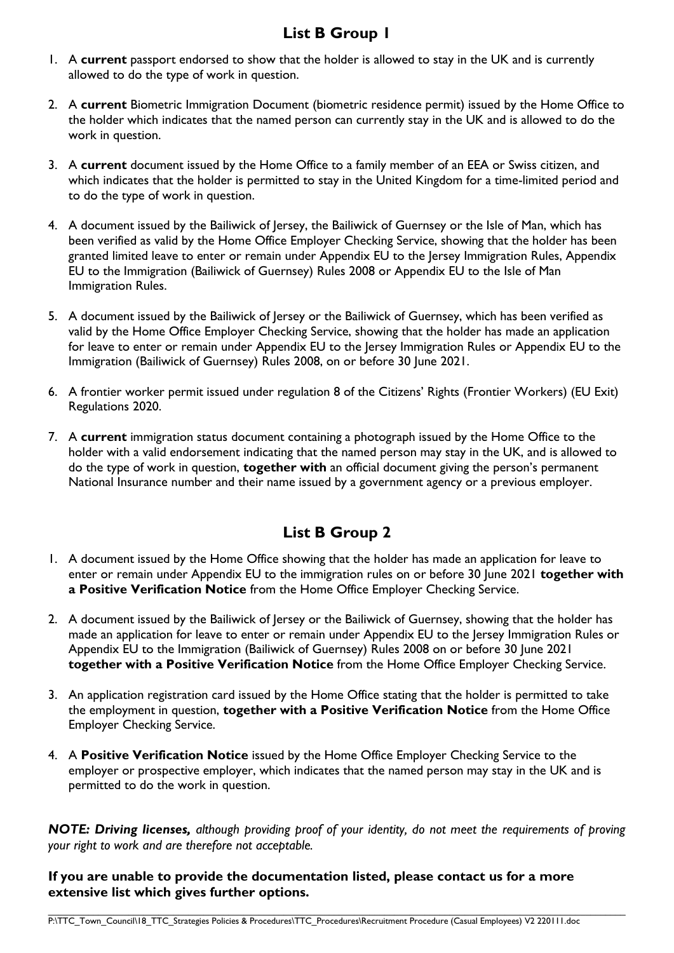# **List B Group 1**

- 1. A **current** passport endorsed to show that the holder is allowed to stay in the UK and is currently allowed to do the type of work in question.
- 2. A **current** Biometric Immigration Document (biometric residence permit) issued by the Home Office to the holder which indicates that the named person can currently stay in the UK and is allowed to do the work in question.
- 3. A **current** document issued by the Home Office to a family member of an EEA or Swiss citizen, and which indicates that the holder is permitted to stay in the United Kingdom for a time-limited period and to do the type of work in question.
- 4. A document issued by the Bailiwick of Jersey, the Bailiwick of Guernsey or the Isle of Man, which has been verified as valid by the Home Office Employer Checking Service, showing that the holder has been granted limited leave to enter or remain under Appendix EU to the Jersey Immigration Rules, Appendix EU to the Immigration (Bailiwick of Guernsey) Rules 2008 or Appendix EU to the Isle of Man Immigration Rules.
- 5. A document issued by the Bailiwick of Jersey or the Bailiwick of Guernsey, which has been verified as valid by the Home Office Employer Checking Service, showing that the holder has made an application for leave to enter or remain under Appendix EU to the Jersey Immigration Rules or Appendix EU to the Immigration (Bailiwick of Guernsey) Rules 2008, on or before 30 June 2021.
- 6. A frontier worker permit issued under regulation 8 of the Citizens' Rights (Frontier Workers) (EU Exit) Regulations 2020.
- 7. A **current** immigration status document containing a photograph issued by the Home Office to the holder with a valid endorsement indicating that the named person may stay in the UK, and is allowed to do the type of work in question, **together with** an official document giving the person's permanent National Insurance number and their name issued by a government agency or a previous employer.

# **List B Group 2**

- 1. A document issued by the Home Office showing that the holder has made an application for leave to enter or remain under Appendix EU to the immigration rules on or before 30 June 2021 **together with a Positive Verification Notice** from the Home Office Employer Checking Service.
- 2. A document issued by the Bailiwick of Jersey or the Bailiwick of Guernsey, showing that the holder has made an application for leave to enter or remain under Appendix EU to the Jersey Immigration Rules or Appendix EU to the Immigration (Bailiwick of Guernsey) Rules 2008 on or before 30 June 2021 **together with a Positive Verification Notice** from the Home Office Employer Checking Service.
- 3. An application registration card issued by the Home Office stating that the holder is permitted to take the employment in question, **together with a Positive Verification Notice** from the Home Office Employer Checking Service.
- 4. A **Positive Verification Notice** issued by the Home Office Employer Checking Service to the employer or prospective employer, which indicates that the named person may stay in the UK and is permitted to do the work in question.

*NOTE: Driving licenses, although providing proof of your identity, do not meet the requirements of proving your right to work and are therefore not acceptable.*

 $\_$  , and the state of the state of the state of the state of the state of the state of the state of the state of the state of the state of the state of the state of the state of the state of the state of the state of the

**If you are unable to provide the documentation listed, please contact us for a more extensive list which gives further options.**